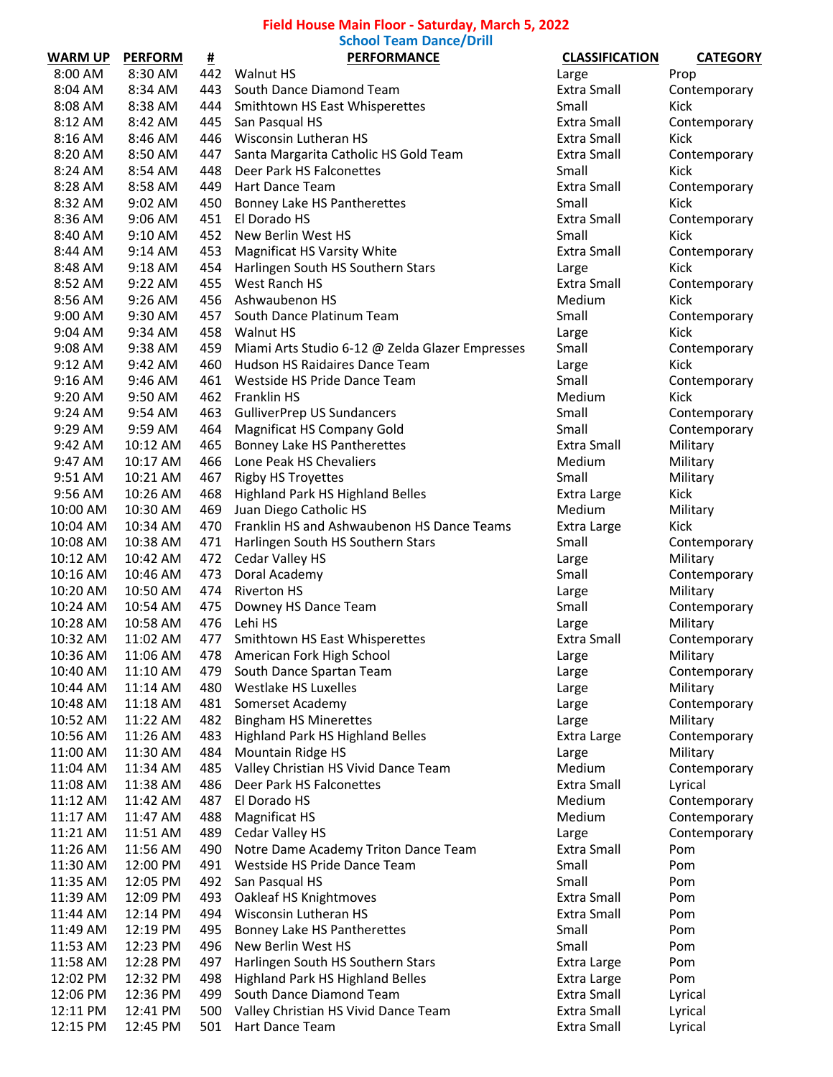## **Field House Main Floor - Saturday, March 5, 2022**

**School Team Dance/Drill**

| <b>WARM UP</b> | <b>PERFORM</b>       | <u>#</u> | <b>PERFORMANCE</b>                              | <b>CLASSIFICATION</b> | <b>CATEGORY</b> |
|----------------|----------------------|----------|-------------------------------------------------|-----------------------|-----------------|
| 8:00 AM        | 8:30 AM              | 442      | <b>Walnut HS</b>                                | Large                 | Prop            |
| 8:04 AM        | 8:34 AM              | 443      | South Dance Diamond Team                        | Extra Small           | Contemporary    |
| 8:08 AM        | 8:38 AM              | 444      | Smithtown HS East Whisperettes                  | Small                 | Kick            |
| 8:12 AM        | 8:42 AM              | 445      | San Pasqual HS                                  | Extra Small           | Contemporary    |
| 8:16 AM        | 8:46 AM              | 446      | Wisconsin Lutheran HS                           | <b>Extra Small</b>    | Kick            |
| 8:20 AM        | 8:50 AM              | 447      | Santa Margarita Catholic HS Gold Team           | Extra Small           | Contemporary    |
| 8:24 AM        | 8:54 AM              | 448      | Deer Park HS Falconettes                        | Small                 | Kick            |
| 8:28 AM        | 8:58 AM              | 449      | Hart Dance Team                                 | Extra Small           | Contemporary    |
| 8:32 AM        | 9:02 AM              | 450      | Bonney Lake HS Pantherettes                     | Small                 | Kick            |
| 8:36 AM        | 9:06 AM              | 451      | El Dorado HS                                    | Extra Small           | Contemporary    |
| 8:40 AM        | 9:10 AM              | 452      | New Berlin West HS                              | Small                 | Kick            |
| 8:44 AM        | $9:14$ AM            | 453      | Magnificat HS Varsity White                     | Extra Small           | Contemporary    |
| 8:48 AM        | 9:18 AM              | 454      | Harlingen South HS Southern Stars               | Large                 | Kick            |
| 8:52 AM        | 9:22 AM              | 455      | West Ranch HS                                   | Extra Small           | Contemporary    |
| 8:56 AM        | 9:26 AM              | 456      | Ashwaubenon HS                                  | Medium                | Kick            |
| 9:00 AM        | 9:30 AM              | 457      | South Dance Platinum Team                       | Small                 | Contemporary    |
| 9:04 AM        | 9:34 AM              | 458      | <b>Walnut HS</b>                                | Large                 | Kick            |
| 9:08 AM        | 9:38 AM              | 459      | Miami Arts Studio 6-12 @ Zelda Glazer Empresses | Small                 | Contemporary    |
| $9:12$ AM      | 9:42 AM              | 460      | Hudson HS Raidaires Dance Team                  | Large                 | Kick            |
| 9:16 AM        | 9:46 AM              | 461      | Westside HS Pride Dance Team                    | Small                 | Contemporary    |
| 9:20 AM        | 9:50 AM              | 462      | <b>Franklin HS</b>                              | Medium                | Kick            |
| $9:24$ AM      | 9:54 AM              | 463      | <b>GulliverPrep US Sundancers</b>               | Small                 | Contemporary    |
| 9:29 AM        | 9:59 AM              | 464      | <b>Magnificat HS Company Gold</b>               | Small                 | Contemporary    |
|                | 10:12 AM             | 465      | Bonney Lake HS Pantherettes                     | <b>Extra Small</b>    |                 |
| 9:42 AM        |                      |          |                                                 |                       | Military        |
| 9:47 AM        | 10:17 AM             | 466      | Lone Peak HS Chevaliers                         | Medium                | Military        |
| 9:51 AM        | 10:21 AM             | 467      | <b>Rigby HS Troyettes</b>                       | Small                 | Military        |
| 9:56 AM        | 10:26 AM<br>10:30 AM | 468      | Highland Park HS Highland Belles                | Extra Large           | Kick            |
| 10:00 AM       |                      | 469      | Juan Diego Catholic HS                          | Medium                | Military        |
| 10:04 AM       | 10:34 AM             | 470      | Franklin HS and Ashwaubenon HS Dance Teams      | Extra Large           | Kick            |
| 10:08 AM       | 10:38 AM             | 471      | Harlingen South HS Southern Stars               | Small                 | Contemporary    |
| 10:12 AM       | 10:42 AM             | 472      | Cedar Valley HS                                 | Large                 | Military        |
| 10:16 AM       | 10:46 AM             | 473      | Doral Academy                                   | Small                 | Contemporary    |
| 10:20 AM       | 10:50 AM             | 474      | <b>Riverton HS</b>                              | Large                 | Military        |
| 10:24 AM       | 10:54 AM             | 475      | Downey HS Dance Team                            | Small                 | Contemporary    |
| 10:28 AM       | 10:58 AM             | 476      | Lehi HS                                         | Large                 | Military        |
| 10:32 AM       | 11:02 AM             | 477      | Smithtown HS East Whisperettes                  | Extra Small           | Contemporary    |
| 10:36 AM       | 11:06 AM             | 478      | American Fork High School                       | Large                 | Military        |
| 10:40 AM       | 11:10 AM             | 479      | South Dance Spartan Team                        | Large                 | Contemporary    |
| 10:44 AM       | 11:14 AM             | 480      | Westlake HS Luxelles                            | Large                 | Military        |
| 10:48 AM       | 11:18 AM             | 481      | Somerset Academy                                | Large                 | Contemporary    |
| 10:52 AM       | 11:22 AM             | 482      | <b>Bingham HS Minerettes</b>                    | Large                 | Military        |
| 10:56 AM       | 11:26 AM             | 483      | Highland Park HS Highland Belles                | Extra Large           | Contemporary    |
| 11:00 AM       | 11:30 AM             | 484      | Mountain Ridge HS                               | Large                 | Military        |
| 11:04 AM       | 11:34 AM             | 485      | Valley Christian HS Vivid Dance Team            | Medium                | Contemporary    |
| 11:08 AM       | 11:38 AM             | 486      | Deer Park HS Falconettes                        | Extra Small           | Lyrical         |
| 11:12 AM       | 11:42 AM             | 487      | El Dorado HS                                    | Medium                | Contemporary    |
| 11:17 AM       | 11:47 AM             | 488      | <b>Magnificat HS</b>                            | Medium                | Contemporary    |
| 11:21 AM       | 11:51 AM             | 489      | Cedar Valley HS                                 | Large                 | Contemporary    |
| 11:26 AM       | 11:56 AM             | 490      | Notre Dame Academy Triton Dance Team            | Extra Small           | Pom             |
| 11:30 AM       | 12:00 PM             | 491      | Westside HS Pride Dance Team                    | Small                 | Pom             |
| 11:35 AM       | 12:05 PM             | 492      | San Pasqual HS                                  | Small                 | Pom             |
| 11:39 AM       | 12:09 PM             | 493      | Oakleaf HS Knightmoves                          | Extra Small           | Pom             |
| 11:44 AM       | 12:14 PM             | 494      | Wisconsin Lutheran HS                           | Extra Small           | Pom             |
| 11:49 AM       | 12:19 PM             | 495      | Bonney Lake HS Pantherettes                     | Small                 | Pom             |
| 11:53 AM       | 12:23 PM             | 496      | New Berlin West HS                              | Small                 | Pom             |
| 11:58 AM       | 12:28 PM             | 497      | Harlingen South HS Southern Stars               | Extra Large           | Pom             |
| 12:02 PM       | 12:32 PM             | 498      | Highland Park HS Highland Belles                | Extra Large           | Pom             |
| 12:06 PM       | 12:36 PM             | 499      | South Dance Diamond Team                        | Extra Small           | Lyrical         |
| 12:11 PM       | 12:41 PM             | 500      | Valley Christian HS Vivid Dance Team            | Extra Small           | Lyrical         |
| 12:15 PM       | 12:45 PM             | 501      | Hart Dance Team                                 | Extra Small           | Lyrical         |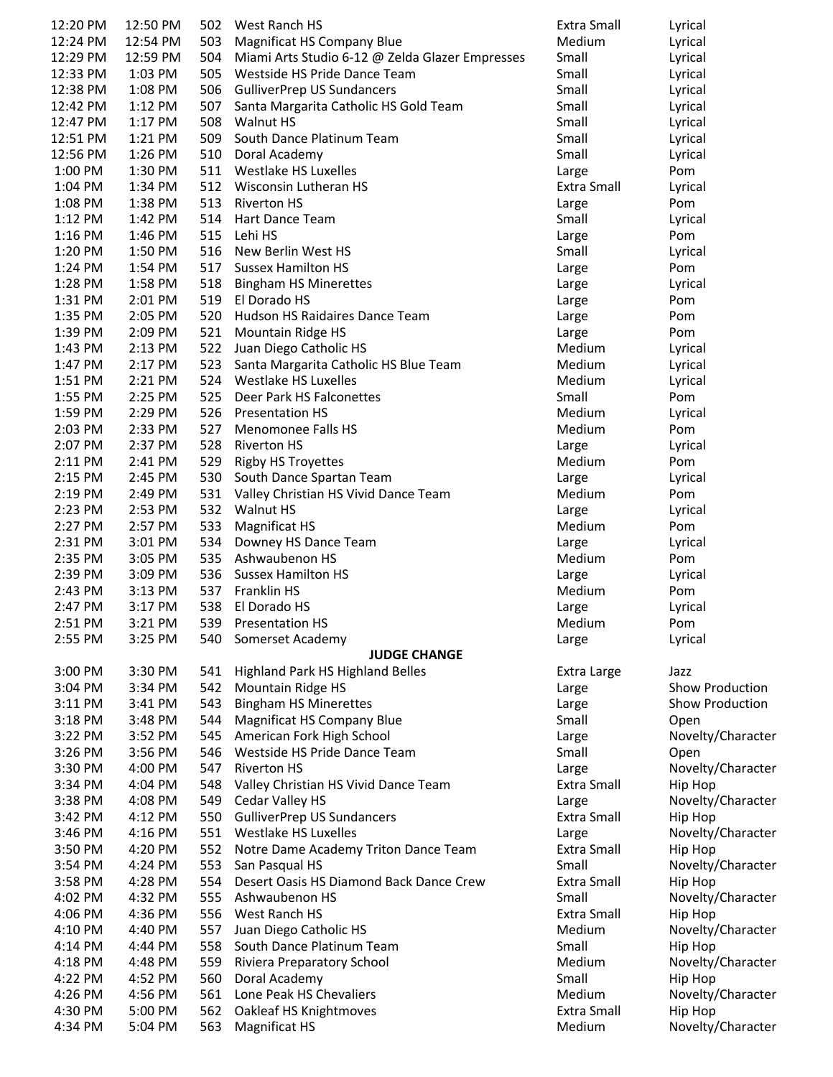| 12:20 PM  | 12:50 PM |     | 502 West Ranch HS                               | Extra Small | Lyrical           |
|-----------|----------|-----|-------------------------------------------------|-------------|-------------------|
| 12:24 PM  | 12:54 PM | 503 | <b>Magnificat HS Company Blue</b>               | Medium      | Lyrical           |
| 12:29 PM  | 12:59 PM | 504 | Miami Arts Studio 6-12 @ Zelda Glazer Empresses | Small       | Lyrical           |
| 12:33 PM  | 1:03 PM  | 505 | Westside HS Pride Dance Team                    | Small       |                   |
|           |          |     |                                                 |             | Lyrical           |
| 12:38 PM  | 1:08 PM  |     | 506 GulliverPrep US Sundancers                  | Small       | Lyrical           |
| 12:42 PM  | 1:12 PM  | 507 | Santa Margarita Catholic HS Gold Team           | Small       | Lyrical           |
| 12:47 PM  | 1:17 PM  | 508 | <b>Walnut HS</b>                                | Small       | Lyrical           |
| 12:51 PM  | 1:21 PM  | 509 | South Dance Platinum Team                       | Small       | Lyrical           |
| 12:56 PM  | 1:26 PM  | 510 | Doral Academy                                   | Small       | Lyrical           |
|           |          |     |                                                 |             |                   |
| 1:00 PM   | 1:30 PM  | 511 | Westlake HS Luxelles                            | Large       | Pom               |
| 1:04 PM   | 1:34 PM  | 512 | Wisconsin Lutheran HS                           | Extra Small | Lyrical           |
| 1:08 PM   | 1:38 PM  | 513 | <b>Riverton HS</b>                              | Large       | Pom               |
| $1:12$ PM | 1:42 PM  | 514 | Hart Dance Team                                 | Small       | Lyrical           |
| 1:16 PM   | 1:46 PM  | 515 | Lehi HS                                         | Large       | Pom               |
|           |          |     |                                                 |             |                   |
| 1:20 PM   | 1:50 PM  | 516 | New Berlin West HS                              | Small       | Lyrical           |
| 1:24 PM   | 1:54 PM  | 517 | <b>Sussex Hamilton HS</b>                       | Large       | Pom               |
| 1:28 PM   | 1:58 PM  | 518 | <b>Bingham HS Minerettes</b>                    | Large       | Lyrical           |
| 1:31 PM   | 2:01 PM  | 519 | El Dorado HS                                    | Large       | Pom               |
| 1:35 PM   | 2:05 PM  | 520 | Hudson HS Raidaires Dance Team                  | Large       | Pom               |
|           |          |     |                                                 |             |                   |
| 1:39 PM   | 2:09 PM  | 521 | <b>Mountain Ridge HS</b>                        | Large       | Pom               |
| 1:43 PM   | 2:13 PM  | 522 | Juan Diego Catholic HS                          | Medium      | Lyrical           |
| 1:47 PM   | 2:17 PM  | 523 | Santa Margarita Catholic HS Blue Team           | Medium      | Lyrical           |
| 1:51 PM   | 2:21 PM  | 524 | Westlake HS Luxelles                            | Medium      | Lyrical           |
| 1:55 PM   | 2:25 PM  | 525 | Deer Park HS Falconettes                        | Small       | Pom               |
|           |          | 526 |                                                 |             |                   |
| 1:59 PM   | 2:29 PM  |     | <b>Presentation HS</b>                          | Medium      | Lyrical           |
| 2:03 PM   | 2:33 PM  | 527 | Menomonee Falls HS                              | Medium      | Pom               |
| 2:07 PM   | 2:37 PM  | 528 | <b>Riverton HS</b>                              | Large       | Lyrical           |
| 2:11 PM   | 2:41 PM  |     | 529 Rigby HS Troyettes                          | Medium      | Pom               |
| 2:15 PM   | 2:45 PM  |     | 530 South Dance Spartan Team                    | Large       | Lyrical           |
| 2:19 PM   | 2:49 PM  |     | 531 Valley Christian HS Vivid Dance Team        | Medium      | Pom               |
|           |          |     |                                                 |             |                   |
| 2:23 PM   | 2:53 PM  |     | 532 Walnut HS                                   | Large       | Lyrical           |
| 2:27 PM   | 2:57 PM  | 533 | Magnificat HS                                   | Medium      | Pom               |
| 2:31 PM   | 3:01 PM  |     | 534 Downey HS Dance Team                        | Large       | Lyrical           |
| 2:35 PM   | 3:05 PM  | 535 | Ashwaubenon HS                                  | Medium      | Pom               |
| 2:39 PM   | 3:09 PM  |     | 536 Sussex Hamilton HS                          | Large       | Lyrical           |
|           |          |     |                                                 |             |                   |
| 2:43 PM   | 3:13 PM  |     | 537 Franklin HS                                 | Medium      | Pom               |
| 2:47 PM   | 3:17 PM  | 538 | El Dorado HS                                    | Large       | Lyrical           |
| 2:51 PM   | 3:21 PM  |     | 539 Presentation HS                             | Medium      | Pom               |
| 2:55 PM   | 3:25 PM  |     | 540 Somerset Academy                            | Large       | Lyrical           |
|           |          |     | <b>JUDGE CHANGE</b>                             |             |                   |
| 3:00 PM   | 3:30 PM  |     |                                                 |             | Jazz              |
|           |          | 541 | Highland Park HS Highland Belles                | Extra Large |                   |
| 3:04 PM   | 3:34 PM  |     | 542 Mountain Ridge HS                           | Large       | Show Production   |
| $3:11$ PM | 3:41 PM  |     | 543 Bingham HS Minerettes                       | Large       | Show Production   |
| 3:18 PM   | 3:48 PM  |     | 544 Magnificat HS Company Blue                  | Small       | Open              |
| 3:22 PM   | 3:52 PM  |     | 545 American Fork High School                   | Large       | Novelty/Character |
| $3:26$ PM | 3:56 PM  | 546 | Westside HS Pride Dance Team                    | Small       | Open              |
|           |          |     |                                                 |             |                   |
| 3:30 PM   | 4:00 PM  | 547 | <b>Riverton HS</b>                              | Large       | Novelty/Character |
| 3:34 PM   | 4:04 PM  | 548 | Valley Christian HS Vivid Dance Team            | Extra Small | Hip Hop           |
| 3:38 PM   | 4:08 PM  | 549 | Cedar Valley HS                                 | Large       | Novelty/Character |
| 3:42 PM   | 4:12 PM  | 550 | <b>GulliverPrep US Sundancers</b>               | Extra Small | Hip Hop           |
| 3:46 PM   | 4:16 PM  |     | 551 Westlake HS Luxelles                        | Large       | Novelty/Character |
| 3:50 PM   | 4:20 PM  |     |                                                 | Extra Small |                   |
|           |          |     | 552 Notre Dame Academy Triton Dance Team        |             | Hip Hop           |
| 3:54 PM   | 4:24 PM  | 553 | San Pasqual HS                                  | Small       | Novelty/Character |
| 3:58 PM   | 4:28 PM  | 554 | Desert Oasis HS Diamond Back Dance Crew         | Extra Small | Hip Hop           |
| 4:02 PM   | 4:32 PM  | 555 | Ashwaubenon HS                                  | Small       | Novelty/Character |
| 4:06 PM   | 4:36 PM  | 556 | West Ranch HS                                   | Extra Small | Hip Hop           |
|           | 4:40 PM  | 557 |                                                 | Medium      |                   |
| 4:10 PM   |          |     | Juan Diego Catholic HS                          |             | Novelty/Character |
| 4:14 PM   | 4:44 PM  | 558 | South Dance Platinum Team                       | Small       | Hip Hop           |
| 4:18 PM   | 4:48 PM  | 559 | Riviera Preparatory School                      | Medium      | Novelty/Character |
| 4:22 PM   | 4:52 PM  | 560 | Doral Academy                                   | Small       | Hip Hop           |
| 4:26 PM   | 4:56 PM  | 561 | Lone Peak HS Chevaliers                         | Medium      | Novelty/Character |
| 4:30 PM   | 5:00 PM  | 562 | Oakleaf HS Knightmoves                          | Extra Small | Hip Hop           |
|           |          |     |                                                 |             |                   |
| 4:34 PM   | 5:04 PM  | 563 | <b>Magnificat HS</b>                            | Medium      | Novelty/Character |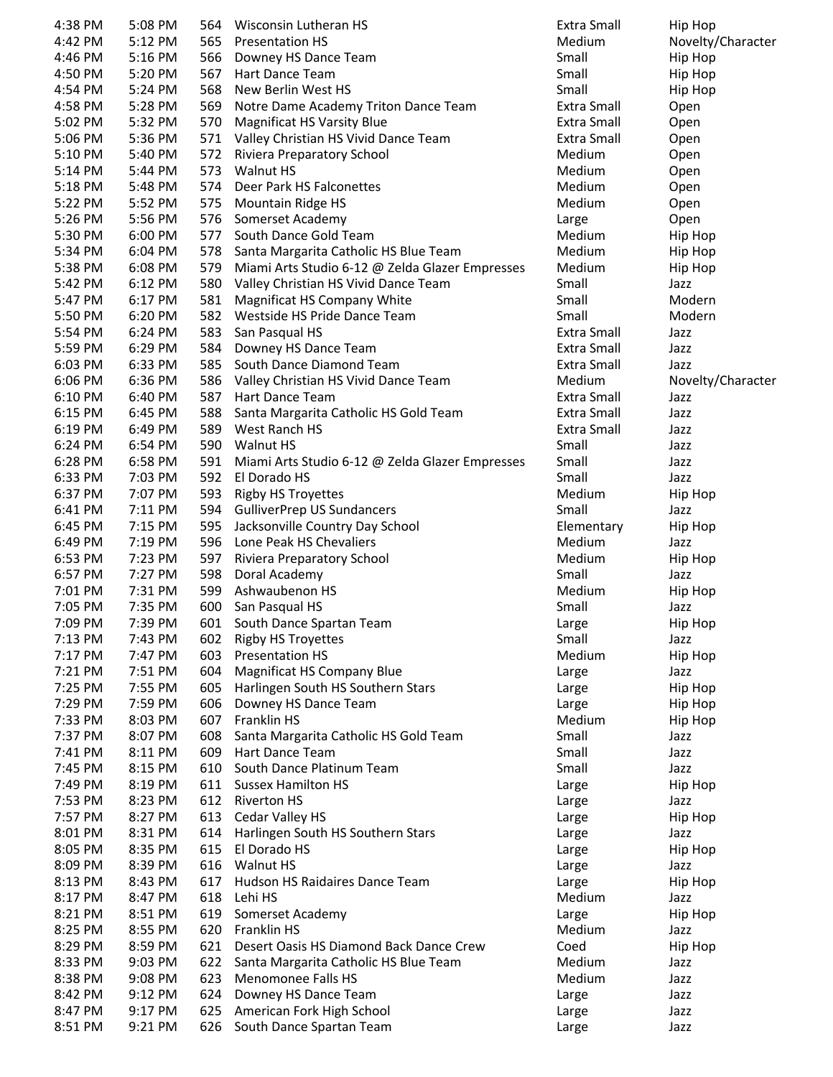| 4:38 PM | 5:08 PM | 564 | Wisconsin Lutheran HS                           | Extra Small        | Hip Hop           |
|---------|---------|-----|-------------------------------------------------|--------------------|-------------------|
| 4:42 PM | 5:12 PM | 565 | <b>Presentation HS</b>                          | Medium             | Novelty/Character |
| 4:46 PM | 5:16 PM | 566 | Downey HS Dance Team                            | Small              | Hip Hop           |
| 4:50 PM | 5:20 PM | 567 | Hart Dance Team                                 | Small              | Hip Hop           |
| 4:54 PM | 5:24 PM | 568 | New Berlin West HS                              | Small              | Hip Hop           |
| 4:58 PM | 5:28 PM | 569 | Notre Dame Academy Triton Dance Team            | Extra Small        | Open              |
| 5:02 PM | 5:32 PM | 570 | <b>Magnificat HS Varsity Blue</b>               | Extra Small        | Open              |
| 5:06 PM | 5:36 PM | 571 | Valley Christian HS Vivid Dance Team            | Extra Small        | Open              |
| 5:10 PM | 5:40 PM | 572 | Riviera Preparatory School                      | Medium             | Open              |
| 5:14 PM | 5:44 PM | 573 | <b>Walnut HS</b>                                | Medium             | Open              |
| 5:18 PM | 5:48 PM | 574 | Deer Park HS Falconettes                        | Medium             | Open              |
| 5:22 PM | 5:52 PM | 575 | <b>Mountain Ridge HS</b>                        | Medium             | Open              |
| 5:26 PM | 5:56 PM | 576 | Somerset Academy                                | Large              | Open              |
| 5:30 PM | 6:00 PM | 577 | South Dance Gold Team                           | Medium             | Hip Hop           |
| 5:34 PM | 6:04 PM | 578 | Santa Margarita Catholic HS Blue Team           | Medium             | Hip Hop           |
| 5:38 PM | 6:08 PM | 579 | Miami Arts Studio 6-12 @ Zelda Glazer Empresses | Medium             | Hip Hop           |
| 5:42 PM | 6:12 PM | 580 | Valley Christian HS Vivid Dance Team            | Small              | Jazz              |
| 5:47 PM | 6:17 PM | 581 | Magnificat HS Company White                     | Small              | Modern            |
| 5:50 PM | 6:20 PM | 582 | Westside HS Pride Dance Team                    | Small              | Modern            |
| 5:54 PM | 6:24 PM | 583 | San Pasqual HS                                  | <b>Extra Small</b> | Jazz              |
| 5:59 PM | 6:29 PM | 584 | Downey HS Dance Team                            | Extra Small        | Jazz              |
| 6:03 PM | 6:33 PM | 585 | South Dance Diamond Team                        | Extra Small        | Jazz              |
| 6:06 PM | 6:36 PM | 586 | Valley Christian HS Vivid Dance Team            | Medium             | Novelty/Character |
| 6:10 PM | 6:40 PM | 587 | Hart Dance Team                                 | <b>Extra Small</b> | Jazz              |
| 6:15 PM | 6:45 PM | 588 | Santa Margarita Catholic HS Gold Team           | Extra Small        | Jazz              |
| 6:19 PM | 6:49 PM | 589 | West Ranch HS                                   | Extra Small        | Jazz              |
| 6:24 PM | 6:54 PM | 590 | <b>Walnut HS</b>                                | Small              | Jazz              |
| 6:28 PM | 6:58 PM | 591 | Miami Arts Studio 6-12 @ Zelda Glazer Empresses | Small              | Jazz              |
| 6:33 PM | 7:03 PM | 592 | El Dorado HS                                    | Small              | Jazz              |
| 6:37 PM | 7:07 PM | 593 | <b>Rigby HS Troyettes</b>                       | Medium             | Hip Hop           |
| 6:41 PM | 7:11 PM | 594 | <b>GulliverPrep US Sundancers</b>               | Small              | Jazz              |
| 6:45 PM | 7:15 PM | 595 | Jacksonville Country Day School                 | Elementary         | Hip Hop           |
| 6:49 PM | 7:19 PM | 596 | Lone Peak HS Chevaliers                         | Medium             | Jazz              |
| 6:53 PM | 7:23 PM | 597 | Riviera Preparatory School                      | Medium             | Hip Hop           |
| 6:57 PM | 7:27 PM | 598 | Doral Academy                                   | Small              | Jazz              |
| 7:01 PM | 7:31 PM | 599 | Ashwaubenon HS                                  | Medium             | Hip Hop           |
| 7:05 PM | 7:35 PM | 600 | San Pasqual HS                                  | Small              | Jazz              |
| 7:09 PM | 7:39 PM | 601 | South Dance Spartan Team                        | Large              | Hip Hop           |
| 7:13 PM | 7:43 PM | 602 | <b>Rigby HS Troyettes</b>                       | Small              | Jazz              |
| 7:17 PM | 7:47 PM | 603 | <b>Presentation HS</b>                          | Medium             | Hip Hop           |
| 7:21 PM | 7:51 PM | 604 | <b>Magnificat HS Company Blue</b>               | Large              | Jazz              |
| 7:25 PM | 7:55 PM | 605 | Harlingen South HS Southern Stars               | Large              | Hip Hop           |
| 7:29 PM | 7:59 PM | 606 | Downey HS Dance Team                            | Large              | Hip Hop           |
| 7:33 PM | 8:03 PM | 607 | Franklin HS                                     | Medium             | Hip Hop           |
| 7:37 PM | 8:07 PM | 608 | Santa Margarita Catholic HS Gold Team           | Small              | Jazz              |
| 7:41 PM | 8:11 PM | 609 | Hart Dance Team                                 | Small              | Jazz              |
| 7:45 PM | 8:15 PM | 610 | South Dance Platinum Team                       | Small              | Jazz              |
| 7:49 PM | 8:19 PM | 611 | <b>Sussex Hamilton HS</b>                       | Large              | Hip Hop           |
| 7:53 PM | 8:23 PM | 612 | <b>Riverton HS</b>                              | Large              | Jazz              |
| 7:57 PM | 8:27 PM |     | 613 Cedar Valley HS                             | Large              | Hip Hop           |
| 8:01 PM | 8:31 PM |     | 614 Harlingen South HS Southern Stars           | Large              | Jazz              |
| 8:05 PM | 8:35 PM | 615 | El Dorado HS                                    | Large              | Hip Hop           |
| 8:09 PM | 8:39 PM | 616 | Walnut HS                                       | Large              | Jazz              |
| 8:13 PM | 8:43 PM | 617 | Hudson HS Raidaires Dance Team                  | Large              | Hip Hop           |
| 8:17 PM | 8:47 PM | 618 | Lehi HS                                         | Medium             | Jazz              |
| 8:21 PM | 8:51 PM | 619 | Somerset Academy                                | Large              | Hip Hop           |
| 8:25 PM | 8:55 PM | 620 | Franklin HS                                     | Medium             | Jazz              |
| 8:29 PM | 8:59 PM | 621 | Desert Oasis HS Diamond Back Dance Crew         | Coed               | Hip Hop           |
| 8:33 PM | 9:03 PM |     | 622 Santa Margarita Catholic HS Blue Team       | Medium             | Jazz              |
| 8:38 PM | 9:08 PM | 623 | Menomonee Falls HS                              | Medium             | Jazz              |
| 8:42 PM | 9:12 PM | 624 | Downey HS Dance Team                            | Large              | Jazz              |
| 8:47 PM | 9:17 PM | 625 | American Fork High School                       | Large              | Jazz              |
| 8:51 PM | 9:21 PM | 626 | South Dance Spartan Team                        | Large              | Jazz              |
|         |         |     |                                                 |                    |                   |